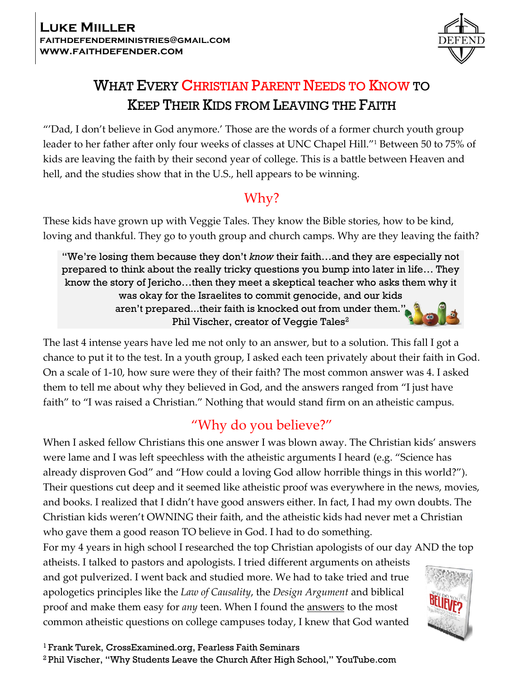

# WHAT EVERY CHRISTIAN PARENT NEEDS TO KNOW TO KEEP THEIR KIDS FROM LEAVING THE FAITH

"'Dad, I don't believe in God anymore.' Those are the words of a former church youth group leader to her father after only four weeks of classes at UNC Chapel Hill."<sup>1</sup> Between 50 to 75% of kids are leaving the faith by their second year of college. This is a battle between Heaven and hell, and the studies show that in the U.S., hell appears to be winning.

## Why?

These kids have grown up with Veggie Tales. They know the Bible stories, how to be kind, loving and thankful. They go to youth group and church camps. Why are they leaving the faith?

"We're losing them because they don't *know* their faith…and they are especially not prepared to think about the really tricky questions you bump into later in life… They know the story of Jericho…then they meet a skeptical teacher who asks them why it was okay for the Israelites to commit genocide, and our kids aren't prepared...their faith is knocked out from under them." Phil Vischer, creator of Veggie Tales<sup>2</sup>

The last 4 intense years have led me not only to an answer, but to a solution. This fall I got a chance to put it to the test. In a youth group, I asked each teen privately about their faith in God. On a scale of 1-10, how sure were they of their faith? The most common answer was 4. I asked them to tell me about why they believed in God, and the answers ranged from "I just have faith" to "I was raised a Christian." Nothing that would stand firm on an atheistic campus.

# "Why do you believe?"

When I asked fellow Christians this one answer I was blown away. The Christian kids' answers were lame and I was left speechless with the atheistic arguments I heard (e.g. "Science has already disproven God" and "How could a loving God allow horrible things in this world?"). Their questions cut deep and it seemed like atheistic proof was everywhere in the news, movies, and books. I realized that I didn't have good answers either. In fact, I had my own doubts. The Christian kids weren't OWNING their faith, and the atheistic kids had never met a Christian who gave them a good reason TO believe in God. I had to do something.

For my 4 years in high school I researched the top Christian apologists of our day AND the top atheists. I talked to pastors and apologists. I tried different arguments on atheists and got pulverized. I went back and studied more. We had to take tried and true apologetics principles like the *Law of Causality*, the *Design Argument* and biblical proof and make them easy for *any* teen. When I found the answers to the most common atheistic questions on college campuses today, I knew that God wanted

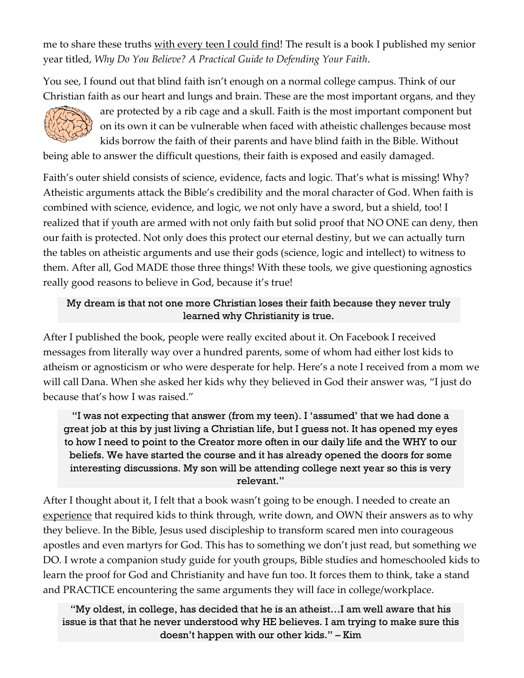me to share these truths with every teen I could find! The result is a book I published my senior year titled, *Why Do You Believe? A Practical Guide to Defending Your Faith*.

You see, I found out that blind faith isn't enough on a normal college campus. Think of our Christian faith as our heart and lungs and brain. These are the most important organs, and they



are protected by a rib cage and a skull. Faith is the most important component but on its own it can be vulnerable when faced with atheistic challenges because most kids borrow the faith of their parents and have blind faith in the Bible. Without

being able to answer the difficult questions, their faith is exposed and easily damaged.

Faith's outer shield consists of science, evidence, facts and logic. That's what is missing! Why? Atheistic arguments attack the Bible's credibility and the moral character of God. When faith is combined with science, evidence, and logic, we not only have a sword, but a shield, too! I realized that if youth are armed with not only faith but solid proof that NO ONE can deny, then our faith is protected. Not only does this protect our eternal destiny, but we can actually turn the tables on atheistic arguments and use their gods (science, logic and intellect) to witness to them. After all, God MADE those three things! With these tools, we give questioning agnostics really good reasons to believe in God, because it's true!

#### My dream is that not one more Christian loses their faith because they never truly learned why Christianity is true.

After I published the book, people were really excited about it. On Facebook I received messages from literally way over a hundred parents, some of whom had either lost kids to atheism or agnosticism or who were desperate for help. Here's a note I received from a mom we will call Dana. When she asked her kids why they believed in God their answer was, "I just do because that's how I was raised."

"I was not expecting that answer (from my teen). I 'assumed' that we had done a great job at this by just living a Christian life, but I guess not. It has opened my eyes to how I need to point to the Creator more often in our daily life and the WHY to our beliefs. We have started the course and it has already opened the doors for some interesting discussions. My son will be attending college next year so this is very relevant."

After I thought about it, I felt that a book wasn't going to be enough. I needed to create an experience that required kids to think through, write down, and OWN their answers as to why they believe. In the Bible, Jesus used discipleship to transform scared men into courageous apostles and even martyrs for God. This has to something we don't just read, but something we DO. I wrote a companion study guide for youth groups, Bible studies and homeschooled kids to learn the proof for God and Christianity and have fun too. It forces them to think, take a stand and PRACTICE encountering the same arguments they will face in college/workplace.

"My oldest, in college, has decided that he is an atheist…I am well aware that his issue is that that he never understood why HE believes. I am trying to make sure this doesn't happen with our other kids." – Kim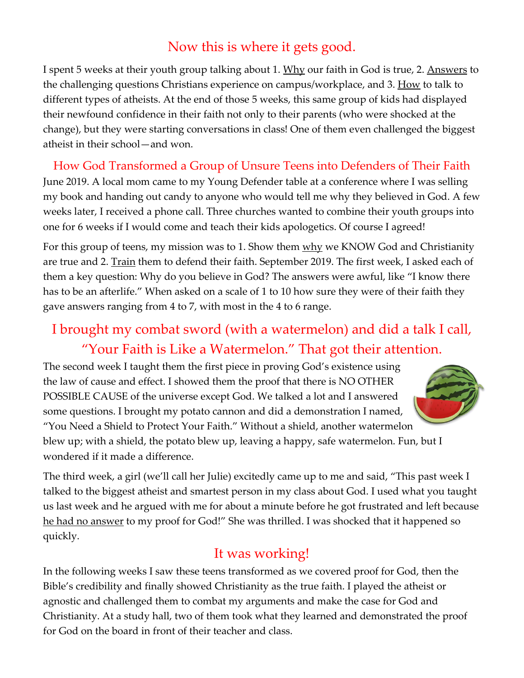## Now this is where it gets good.

I spent 5 weeks at their youth group talking about 1. Why our faith in God is true, 2. Answers to the challenging questions Christians experience on campus/workplace, and 3. How to talk to different types of atheists. At the end of those 5 weeks, this same group of kids had displayed their newfound confidence in their faith not only to their parents (who were shocked at the change), but they were starting conversations in class! One of them even challenged the biggest atheist in their school—and won.

How God Transformed a Group of Unsure Teens into Defenders of Their Faith June 2019. A local mom came to my Young Defender table at a conference where I was selling my book and handing out candy to anyone who would tell me why they believed in God. A few weeks later, I received a phone call. Three churches wanted to combine their youth groups into one for 6 weeks if I would come and teach their kids apologetics. Of course I agreed!

For this group of teens, my mission was to 1. Show them why we KNOW God and Christianity are true and 2. Train them to defend their faith. September 2019. The first week, I asked each of them a key question: Why do you believe in God? The answers were awful, like "I know there has to be an afterlife." When asked on a scale of 1 to 10 how sure they were of their faith they gave answers ranging from 4 to 7, with most in the 4 to 6 range.

# I brought my combat sword (with a watermelon) and did a talk I call, "Your Faith is Like a Watermelon." That got their attention.

The second week I taught them the first piece in proving God's existence using the law of cause and effect. I showed them the proof that there is NO OTHER POSSIBLE CAUSE of the universe except God. We talked a lot and I answered some questions. I brought my potato cannon and did a demonstration I named, "You Need a Shield to Protect Your Faith." Without a shield, another watermelon blew up; with a shield, the potato blew up, leaving a happy, safe watermelon. Fun, but I wondered if it made a difference.



The third week, a girl (we'll call her Julie) excitedly came up to me and said, "This past week I talked to the biggest atheist and smartest person in my class about God. I used what you taught us last week and he argued with me for about a minute before he got frustrated and left because he had no answer to my proof for God!" She was thrilled. I was shocked that it happened so quickly.

## It was working!

In the following weeks I saw these teens transformed as we covered proof for God, then the Bible's credibility and finally showed Christianity as the true faith. I played the atheist or agnostic and challenged them to combat my arguments and make the case for God and Christianity. At a study hall, two of them took what they learned and demonstrated the proof for God on the board in front of their teacher and class.